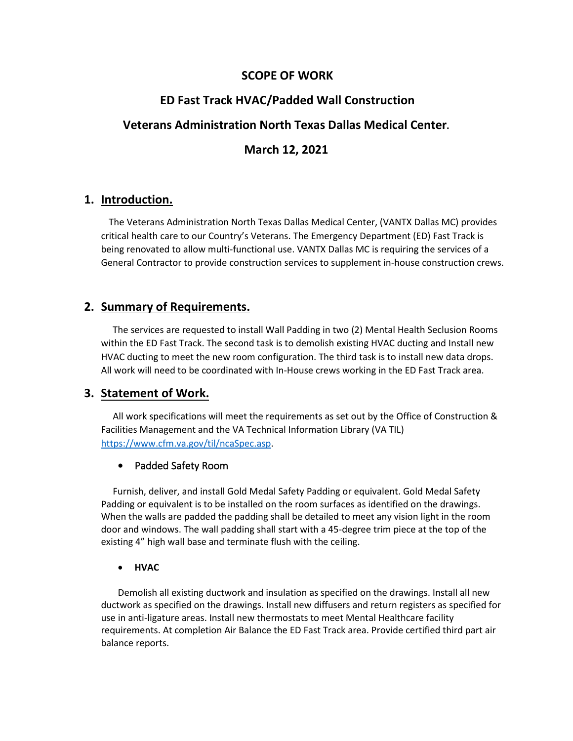## **SCOPE OF WORK**

# **ED Fast Track HVAC/Padded Wall Construction**

# **Veterans Administration North Texas Dallas Medical Center.**

# **March 12, 2021**

## **1. Introduction.**

The Veterans Administration North Texas Dallas Medical Center, (VANTX Dallas MC) provides critical health care to our Country's Veterans. The Emergency Department (ED) Fast Track is being renovated to allow multi-functional use. VANTX Dallas MC is requiring the services of a General Contractor to provide construction services to supplement in-house construction crews.

## **2. Summary of Requirements.**

 The services are requested to install Wall Padding in two (2) Mental Health Seclusion Rooms within the ED Fast Track. The second task is to demolish existing HVAC ducting and Install new HVAC ducting to meet the new room configuration. The third task is to install new data drops. All work will need to be coordinated with In-House crews working in the ED Fast Track area.

# **3. Statement of Work.**

All work specifications will meet the requirements as set out by the Office of Construction & Facilities Management and the VA Technical Information Library (VA TIL) [https://www.cfm.va.gov/til/ncaSpec.asp.](https://www.cfm.va.gov/til/ncaSpec.asp)

### • Padded Safety Room

 Furnish, deliver, and install Gold Medal Safety Padding or equivalent. Gold Medal Safety Padding or equivalent is to be installed on the room surfaces as identified on the drawings. When the walls are padded the padding shall be detailed to meet any vision light in the room door and windows. The wall padding shall start with a 45-degree trim piece at the top of the existing 4" high wall base and terminate flush with the ceiling.

### • **HVAC**

Demolish all existing ductwork and insulation as specified on the drawings. Install all new ductwork as specified on the drawings. Install new diffusers and return registers as specified for use in anti-ligature areas. Install new thermostats to meet Mental Healthcare facility requirements. At completion Air Balance the ED Fast Track area. Provide certified third part air balance reports.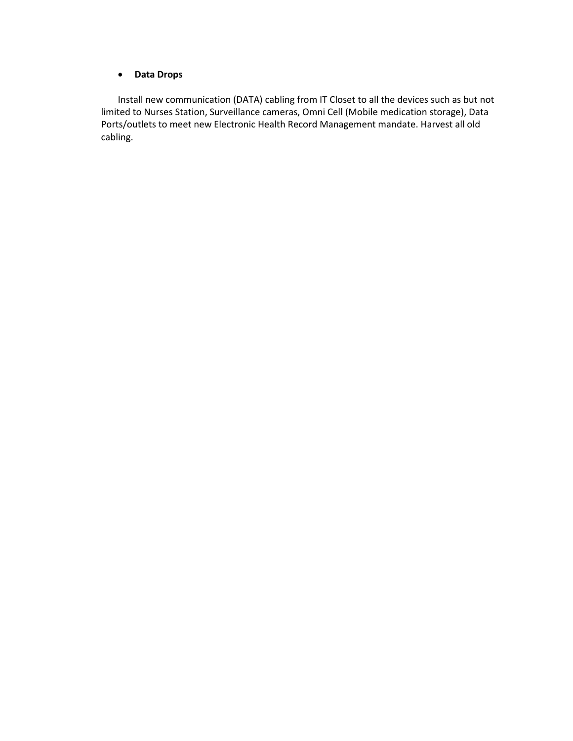#### • **Data Drops**

Install new communication (DATA) cabling from IT Closet to all the devices such as but not limited to Nurses Station, Surveillance cameras, Omni Cell (Mobile medication storage), Data Ports/outlets to meet new Electronic Health Record Management mandate. Harvest all old cabling.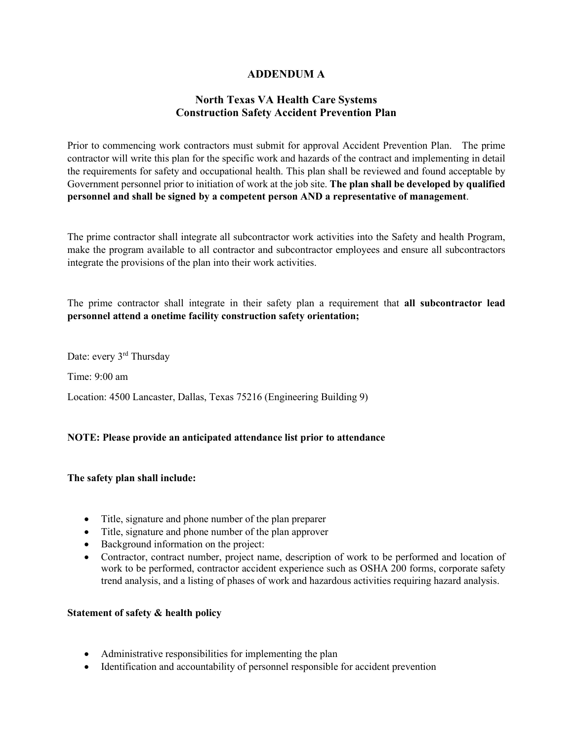## **ADDENDUM A**

## **North Texas VA Health Care Systems Construction Safety Accident Prevention Plan**

Prior to commencing work contractors must submit for approval Accident Prevention Plan. The prime contractor will write this plan for the specific work and hazards of the contract and implementing in detail the requirements for safety and occupational health. This plan shall be reviewed and found acceptable by Government personnel prior to initiation of work at the job site. **The plan shall be developed by qualified personnel and shall be signed by a competent person AND a representative of management**.

The prime contractor shall integrate all subcontractor work activities into the Safety and health Program, make the program available to all contractor and subcontractor employees and ensure all subcontractors integrate the provisions of the plan into their work activities.

The prime contractor shall integrate in their safety plan a requirement that **all subcontractor lead personnel attend a onetime facility construction safety orientation;**

Date: every 3<sup>rd</sup> Thursday

Time: 9:00 am

Location: 4500 Lancaster, Dallas, Texas 75216 (Engineering Building 9)

#### **NOTE: Please provide an anticipated attendance list prior to attendance**

#### **The safety plan shall include:**

- Title, signature and phone number of the plan preparer
- Title, signature and phone number of the plan approver
- Background information on the project:
- Contractor, contract number, project name, description of work to be performed and location of work to be performed, contractor accident experience such as OSHA 200 forms, corporate safety trend analysis, and a listing of phases of work and hazardous activities requiring hazard analysis.

#### **Statement of safety & health policy**

- Administrative responsibilities for implementing the plan
- Identification and accountability of personnel responsible for accident prevention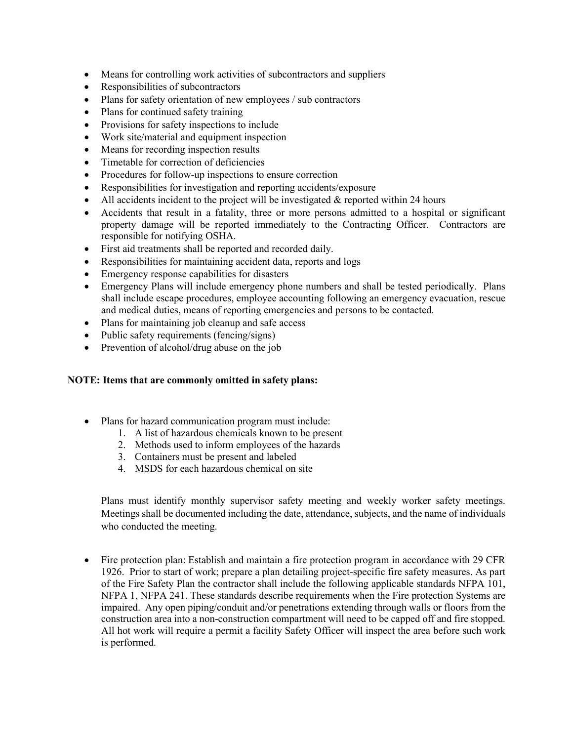- Means for controlling work activities of subcontractors and suppliers
- Responsibilities of subcontractors
- Plans for safety orientation of new employees / sub contractors
- Plans for continued safety training
- Provisions for safety inspections to include
- Work site/material and equipment inspection
- Means for recording inspection results
- Timetable for correction of deficiencies
- Procedures for follow-up inspections to ensure correction
- Responsibilities for investigation and reporting accidents/exposure
- All accidents incident to the project will be investigated  $&$  reported within 24 hours
- Accidents that result in a fatality, three or more persons admitted to a hospital or significant property damage will be reported immediately to the Contracting Officer. Contractors are responsible for notifying OSHA.
- First aid treatments shall be reported and recorded daily.
- Responsibilities for maintaining accident data, reports and logs
- Emergency response capabilities for disasters
- Emergency Plans will include emergency phone numbers and shall be tested periodically. Plans shall include escape procedures, employee accounting following an emergency evacuation, rescue and medical duties, means of reporting emergencies and persons to be contacted.
- Plans for maintaining job cleanup and safe access
- Public safety requirements (fencing/signs)
- Prevention of alcohol/drug abuse on the job

#### **NOTE: Items that are commonly omitted in safety plans:**

- Plans for hazard communication program must include:
	- 1. A list of hazardous chemicals known to be present
	- 2. Methods used to inform employees of the hazards
	- 3. Containers must be present and labeled
	- 4. MSDS for each hazardous chemical on site

Plans must identify monthly supervisor safety meeting and weekly worker safety meetings. Meetings shall be documented including the date, attendance, subjects, and the name of individuals who conducted the meeting.

• Fire protection plan: Establish and maintain a fire protection program in accordance with 29 CFR 1926. Prior to start of work; prepare a plan detailing project-specific fire safety measures. As part of the Fire Safety Plan the contractor shall include the following applicable standards NFPA 101, NFPA 1, NFPA 241. These standards describe requirements when the Fire protection Systems are impaired. Any open piping/conduit and/or penetrations extending through walls or floors from the construction area into a non-construction compartment will need to be capped off and fire stopped. All hot work will require a permit a facility Safety Officer will inspect the area before such work is performed.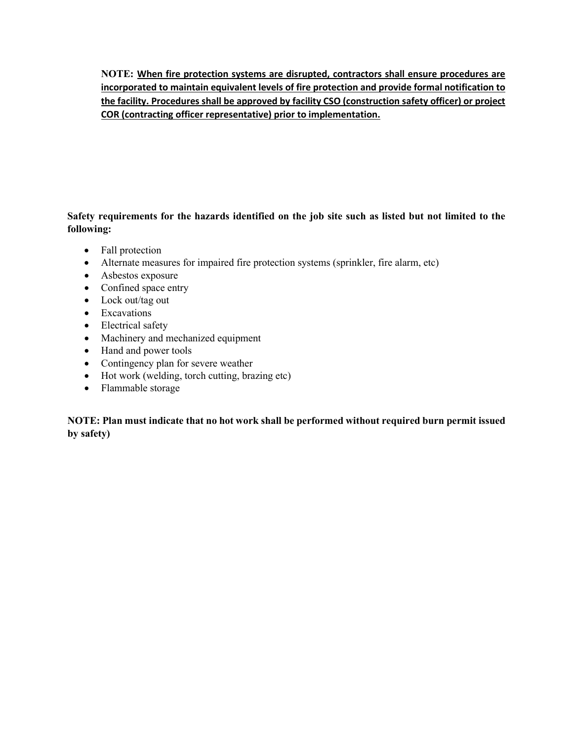**NOTE: When fire protection systems are disrupted, contractors shall ensure procedures are incorporated to maintain equivalent levels of fire protection and provide formal notification to the facility. Procedures shall be approved by facility CSO (construction safety officer) or project COR (contracting officer representative) prior to implementation.**

## **Safety requirements for the hazards identified on the job site such as listed but not limited to the following:**

- Fall protection
- Alternate measures for impaired fire protection systems (sprinkler, fire alarm, etc)
- Asbestos exposure
- Confined space entry
- Lock out/tag out
- Excavations
- Electrical safety
- Machinery and mechanized equipment
- Hand and power tools
- Contingency plan for severe weather
- Hot work (welding, torch cutting, brazing etc)
- Flammable storage

**NOTE: Plan must indicate that no hot work shall be performed without required burn permit issued by safety)**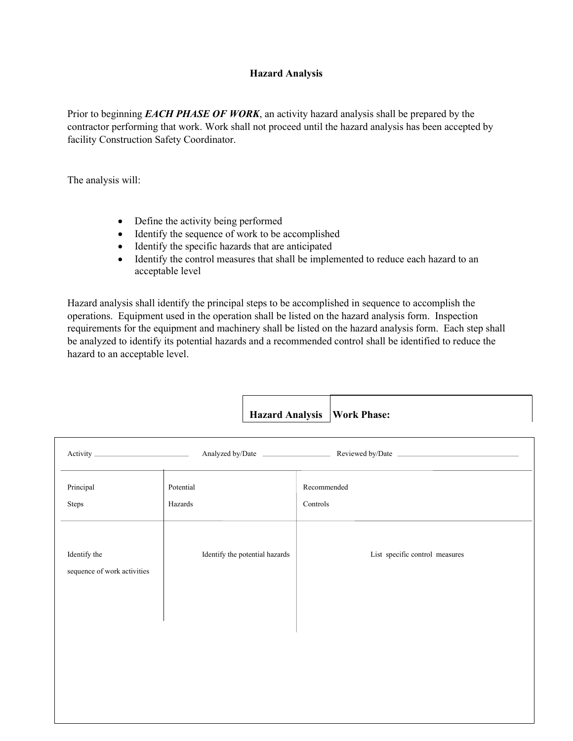#### **Hazard Analysis**

Prior to beginning *EACH PHASE OF WORK*, an activity hazard analysis shall be prepared by the contractor performing that work. Work shall not proceed until the hazard analysis has been accepted by facility Construction Safety Coordinator.

The analysis will:

- Define the activity being performed
- Identify the sequence of work to be accomplished
- Identify the specific hazards that are anticipated
- Identify the control measures that shall be implemented to reduce each hazard to an acceptable level

Hazard analysis shall identify the principal steps to be accomplished in sequence to accomplish the operations. Equipment used in the operation shall be listed on the hazard analysis form. Inspection requirements for the equipment and machinery shall be listed on the hazard analysis form. Each step shall be analyzed to identify its potential hazards and a recommended control shall be identified to reduce the hazard to an acceptable level.

|                                             |                                | Hazard Analysis   Work Phase:  |
|---------------------------------------------|--------------------------------|--------------------------------|
|                                             |                                |                                |
| Principal<br>Steps                          | Potential<br>Hazards           | Recommended<br>Controls        |
| Identify the<br>sequence of work activities | Identify the potential hazards | List specific control measures |
|                                             |                                |                                |
|                                             |                                |                                |